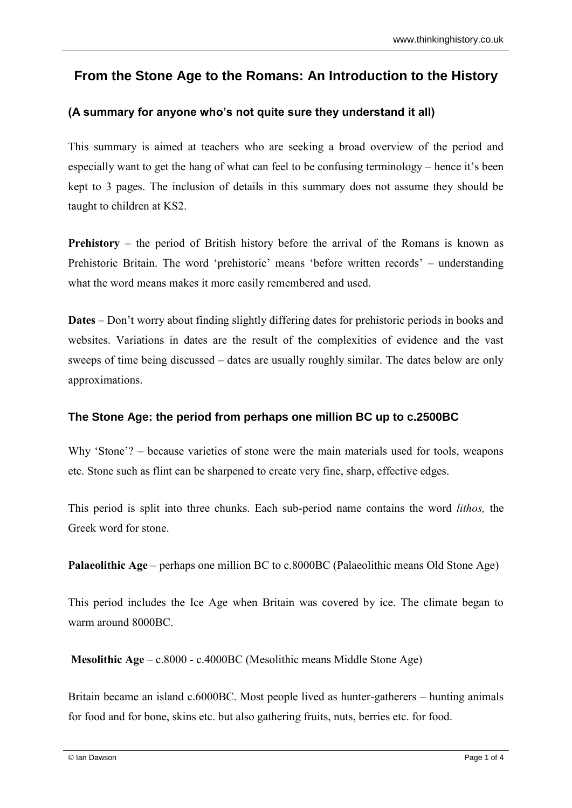# **From the Stone Age to the Romans: An Introduction to the History**

## **(A summary for anyone who's not quite sure they understand it all)**

This summary is aimed at teachers who are seeking a broad overview of the period and especially want to get the hang of what can feel to be confusing terminology – hence it's been kept to 3 pages. The inclusion of details in this summary does not assume they should be taught to children at KS2.

**Prehistory** – the period of British history before the arrival of the Romans is known as Prehistoric Britain. The word 'prehistoric' means 'before written records' – understanding what the word means makes it more easily remembered and used.

**Dates** – Don't worry about finding slightly differing dates for prehistoric periods in books and websites. Variations in dates are the result of the complexities of evidence and the vast sweeps of time being discussed – dates are usually roughly similar. The dates below are only approximations.

## **The Stone Age: the period from perhaps one million BC up to c.2500BC**

Why 'Stone'? – because varieties of stone were the main materials used for tools, weapons etc. Stone such as flint can be sharpened to create very fine, sharp, effective edges.

This period is split into three chunks. Each sub-period name contains the word *lithos,* the Greek word for stone.

**Palaeolithic Age** – perhaps one million BC to c.8000BC (Palaeolithic means Old Stone Age)

This period includes the Ice Age when Britain was covered by ice. The climate began to warm around 8000BC.

**Mesolithic Age** – c.8000 - c.4000BC (Mesolithic means Middle Stone Age)

Britain became an island c.6000BC. Most people lived as hunter-gatherers – hunting animals for food and for bone, skins etc. but also gathering fruits, nuts, berries etc. for food.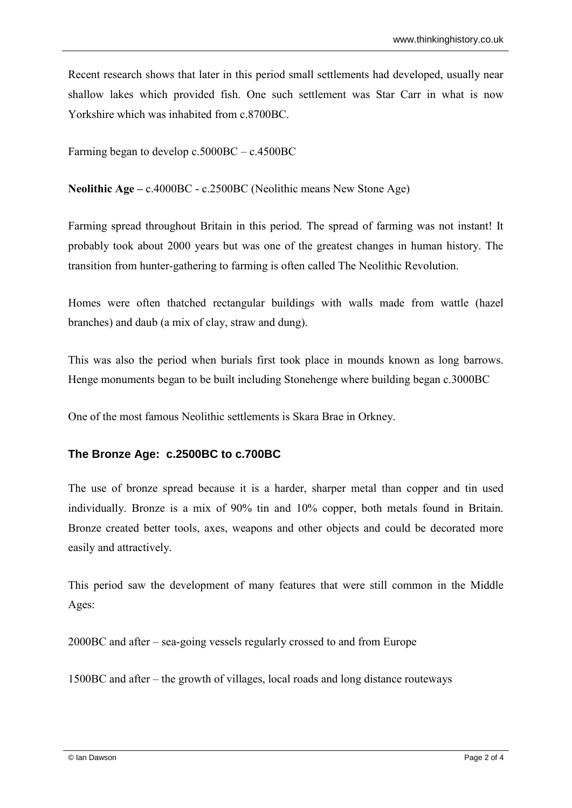Recent research shows that later in this period small settlements had developed, usually near shallow lakes which provided fish. One such settlement was Star Carr in what is now Yorkshire which was inhabited from c.8700BC.

Farming began to develop c.5000BC – c.4500BC

**Neolithic Age –** c.4000BC - c.2500BC (Neolithic means New Stone Age)

Farming spread throughout Britain in this period. The spread of farming was not instant! It probably took about 2000 years but was one of the greatest changes in human history. The transition from hunter-gathering to farming is often called The Neolithic Revolution.

Homes were often thatched rectangular buildings with walls made from wattle (hazel branches) and daub (a mix of clay, straw and dung).

This was also the period when burials first took place in mounds known as long barrows. Henge monuments began to be built including Stonehenge where building began c.3000BC

One of the most famous Neolithic settlements is Skara Brae in Orkney.

#### **The Bronze Age: c.2500BC to c.700BC**

The use of bronze spread because it is a harder, sharper metal than copper and tin used individually. Bronze is a mix of 90% tin and 10% copper, both metals found in Britain. Bronze created better tools, axes, weapons and other objects and could be decorated more easily and attractively.

This period saw the development of many features that were still common in the Middle Ages:

2000BC and after – sea-going vessels regularly crossed to and from Europe

1500BC and after – the growth of villages, local roads and long distance routeways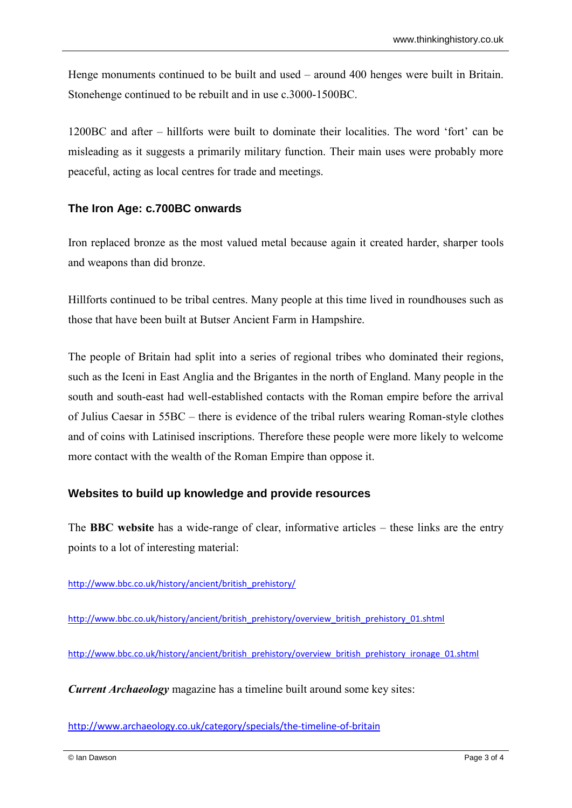Henge monuments continued to be built and used – around 400 henges were built in Britain. Stonehenge continued to be rebuilt and in use c.3000-1500BC.

1200BC and after – hillforts were built to dominate their localities. The word 'fort' can be misleading as it suggests a primarily military function. Their main uses were probably more peaceful, acting as local centres for trade and meetings.

### **The Iron Age: c.700BC onwards**

Iron replaced bronze as the most valued metal because again it created harder, sharper tools and weapons than did bronze.

Hillforts continued to be tribal centres. Many people at this time lived in roundhouses such as those that have been built at Butser Ancient Farm in Hampshire.

The people of Britain had split into a series of regional tribes who dominated their regions, such as the Iceni in East Anglia and the Brigantes in the north of England. Many people in the south and south-east had well-established contacts with the Roman empire before the arrival of Julius Caesar in 55BC – there is evidence of the tribal rulers wearing Roman-style clothes and of coins with Latinised inscriptions. Therefore these people were more likely to welcome more contact with the wealth of the Roman Empire than oppose it.

#### **Websites to build up knowledge and provide resources**

The **BBC website** has a wide-range of clear, informative articles – these links are the entry points to a lot of interesting material:

[http://www.bbc.co.uk/history/ancient/british\\_prehistory/](http://www.bbc.co.uk/history/ancient/british_prehistory/)

[http://www.bbc.co.uk/history/ancient/british\\_prehistory/overview\\_british\\_prehistory\\_01.shtml](http://www.bbc.co.uk/history/ancient/british_prehistory/overview_british_prehistory_01.shtml)

[http://www.bbc.co.uk/history/ancient/british\\_prehistory/overview\\_british\\_prehistory\\_ironage\\_01.shtml](http://www.bbc.co.uk/history/ancient/british_prehistory/overview_british_prehistory_ironage_01.shtml)

*Current Archaeology* magazine has a timeline built around some key sites:

<http://www.archaeology.co.uk/category/specials/the-timeline-of-britain>